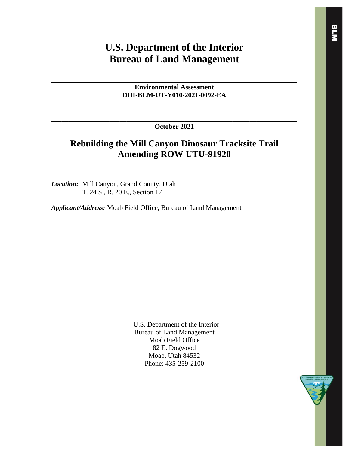# **U.S. Department of the Interior Bureau of Land Management**

**Environmental Assessment DOI-BLM-UT-Y010-2021-0092-EA**

**\_\_\_\_\_\_\_\_\_\_\_\_\_\_\_\_\_\_\_\_\_\_\_\_\_\_\_\_\_\_\_\_\_\_\_\_\_\_\_\_\_\_\_\_\_\_\_\_\_\_\_\_\_\_\_\_\_\_\_\_\_\_\_\_\_\_\_\_\_\_\_\_ October 2021**

## **Rebuilding the Mill Canyon Dinosaur Tracksite Trail Amending ROW UTU-91920**

\_\_\_\_\_\_\_\_\_\_\_\_\_\_\_\_\_\_\_\_\_\_\_\_\_\_\_\_\_\_\_\_\_\_\_\_\_\_\_\_\_\_\_\_\_\_\_\_\_\_\_\_\_\_\_\_\_\_\_\_\_\_\_\_\_\_\_\_\_\_\_\_

*Location:* Mill Canyon, Grand County, Utah T. 24 S., R. 20 E., Section 17

*Applicant/Address:* Moab Field Office, Bureau of Land Management

U.S. Department of the Interior Bureau of Land Management Moab Field Office 82 E. Dogwood Moab, Utah 84532 Phone: 435-259-2100

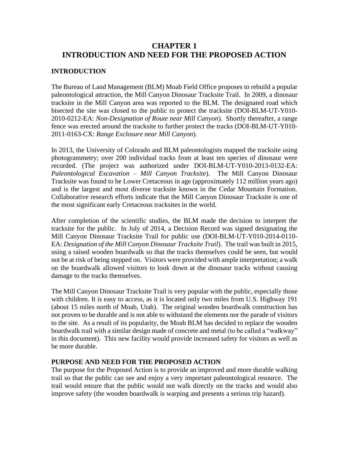## **CHAPTER 1 INTRODUCTION AND NEED FOR THE PROPOSED ACTION**

### **INTRODUCTION**

The Bureau of Land Management (BLM) Moab Field Office proposes to rebuild a popular paleontological attraction, the Mill Canyon Dinosaur Tracksite Trail. In 2009, a dinosaur tracksite in the Mill Canyon area was reported to the BLM. The designated road which bisected the site was closed to the public to protect the tracksite (DOI-BLM-UT-Y010- 2010-0212-EA: *Non-Designation of Route near Mill Canyon*). Shortly thereafter, a range fence was erected around the tracksite to further protect the tracks (DOI-BLM-UT-Y010- 2011-0163-CX: *Range Exclosure near Mill Canyon*).

In 2013, the University of Colorado and BLM paleontologists mapped the tracksite using photogrammetry; over 200 individual tracks from at least ten species of dinosaur were recorded. (The project was authorized under DOI-BLM-UT-Y010-2013-0132-EA: *Paleontological Excavation – Mill Canyon Tracksite*). The Mill Canyon Dinosaur Tracksite was found to be Lower Cretaceous in age (approximately 112 million years ago) and is the largest and most diverse tracksite known in the Cedar Mountain Formation. Collaborative research efforts indicate that the Mill Canyon Dinosaur Tracksite is one of the most significant early Cretaceous tracksites in the world.

After completion of the scientific studies, the BLM made the decision to interpret the tracksite for the public. In July of 2014, a Decision Record was signed designating the Mill Canyon Dinosaur Tracksite Trail for public use (DOI-BLM-UT-Y010-2014-0110- EA: *Designation of the Mill Canyon Dinosaur Tracksite Trail*). The trail was built in 2015, using a raised wooden boardwalk so that the tracks themselves could be seen, but would not be at risk of being stepped on. Visitors were provided with ample interpretation; a walk on the boardwalk allowed visitors to look down at the dinosaur tracks without causing damage to the tracks themselves.

The Mill Canyon Dinosaur Tracksite Trail is very popular with the public, especially those with children. It is easy to access, as it is located only two miles from U.S. Highway 191 (about 15 miles north of Moab, Utah). The original wooden boardwalk construction has not proven to be durable and is not able to withstand the elements nor the parade of visitors to the site. As a result of its popularity, the Moab BLM has decided to replace the wooden boardwalk trail with a similar design made of concrete and metal (to be called a "walkway" in this document). This new facility would provide increased safety for visitors as well as be more durable.

#### **PURPOSE AND NEED FOR THE PROPOSED ACTION**

The purpose for the Proposed Action is to provide an improved and more durable walking trail so that the public can see and enjoy a very important paleontological resource. The trail would ensure that the public would not walk directly on the tracks and would also improve safety (the wooden boardwalk is warping and presents a serious trip hazard).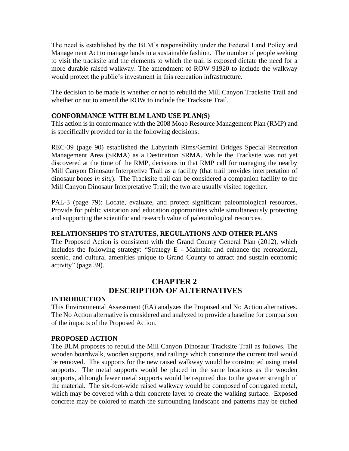The need is established by the BLM's responsibility under the Federal Land Policy and Management Act to manage lands in a sustainable fashion. The number of people seeking to visit the tracksite and the elements to which the trail is exposed dictate the need for a more durable raised walkway. The amendment of ROW 91920 to include the walkway would protect the public's investment in this recreation infrastructure.

The decision to be made is whether or not to rebuild the Mill Canyon Tracksite Trail and whether or not to amend the ROW to include the Tracksite Trail.

#### **CONFORMANCE WITH BLM LAND USE PLAN(S)**

This action is in conformance with the 2008 Moab Resource Management Plan (RMP) and is specifically provided for in the following decisions:

REC-39 (page 90) established the Labyrinth Rims/Gemini Bridges Special Recreation Management Area (SRMA) as a Destination SRMA. While the Tracksite was not yet discovered at the time of the RMP, decisions in that RMP call for managing the nearby Mill Canyon Dinosaur Interpretive Trail as a facility (that trail provides interpretation of dinosaur bones *in situ*). The Tracksite trail can be considered a companion facility to the Mill Canyon Dinosaur Interpretative Trail; the two are usually visited together.

PAL-3 (page 79): Locate, evaluate, and protect significant paleontological resources. Provide for public visitation and education opportunities while simultaneously protecting and supporting the scientific and research value of paleontological resources.

### **RELATIONSHIPS TO STATUTES, REGULATIONS AND OTHER PLANS**

The Proposed Action is consistent with the Grand County General Plan (2012), which includes the following strategy: "Strategy E - Maintain and enhance the recreational, scenic, and cultural amenities unique to Grand County to attract and sustain economic activity" (page 39).

## **CHAPTER 2 DESCRIPTION OF ALTERNATIVES**

### **INTRODUCTION**

This Environmental Assessment (EA) analyzes the Proposed and No Action alternatives. The No Action alternative is considered and analyzed to provide a baseline for comparison of the impacts of the Proposed Action.

### **PROPOSED ACTION**

The BLM proposes to rebuild the Mill Canyon Dinosaur Tracksite Trail as follows. The wooden boardwalk, wooden supports, and railings which constitute the current trail would be removed. The supports for the new raised walkway would be constructed using metal supports. The metal supports would be placed in the same locations as the wooden supports, although fewer metal supports would be required due to the greater strength of the material. The six-foot-wide raised walkway would be composed of corrugated metal, which may be covered with a thin concrete layer to create the walking surface. Exposed concrete may be colored to match the surrounding landscape and patterns may be etched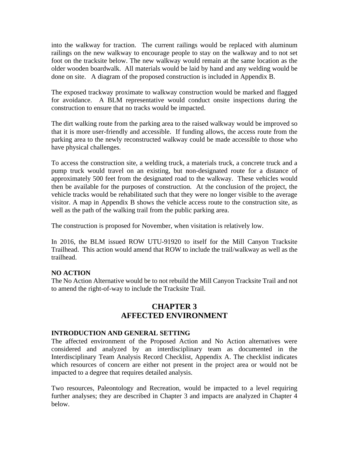into the walkway for traction. The current railings would be replaced with aluminum railings on the new walkway to encourage people to stay on the walkway and to not set foot on the tracksite below. The new walkway would remain at the same location as the older wooden boardwalk. All materials would be laid by hand and any welding would be done on site. A diagram of the proposed construction is included in Appendix B.

The exposed trackway proximate to walkway construction would be marked and flagged for avoidance. A BLM representative would conduct onsite inspections during the construction to ensure that no tracks would be impacted.

The dirt walking route from the parking area to the raised walkway would be improved so that it is more user-friendly and accessible. If funding allows, the access route from the parking area to the newly reconstructed walkway could be made accessible to those who have physical challenges.

To access the construction site, a welding truck, a materials truck, a concrete truck and a pump truck would travel on an existing, but non-designated route for a distance of approximately 500 feet from the designated road to the walkway. These vehicles would then be available for the purposes of construction. At the conclusion of the project, the vehicle tracks would be rehabilitated such that they were no longer visible to the average visitor. A map in Appendix B shows the vehicle access route to the construction site, as well as the path of the walking trail from the public parking area.

The construction is proposed for November, when visitation is relatively low.

In 2016, the BLM issued ROW UTU-91920 to itself for the Mill Canyon Tracksite Trailhead. This action would amend that ROW to include the trail/walkway as well as the trailhead.

### **NO ACTION**

The No Action Alternative would be to not rebuild the Mill Canyon Tracksite Trail and not to amend the right-of-way to include the Tracksite Trail.

## **CHAPTER 3 AFFECTED ENVIRONMENT**

#### **INTRODUCTION AND GENERAL SETTING**

The affected environment of the Proposed Action and No Action alternatives were considered and analyzed by an interdisciplinary team as documented in the Interdisciplinary Team Analysis Record Checklist, Appendix A. The checklist indicates which resources of concern are either not present in the project area or would not be impacted to a degree that requires detailed analysis.

Two resources, Paleontology and Recreation, would be impacted to a level requiring further analyses; they are described in Chapter 3 and impacts are analyzed in Chapter 4 below.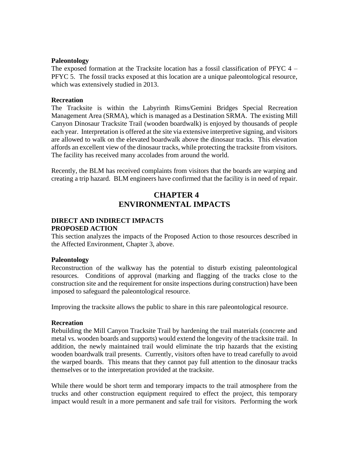#### **Paleontology**

The exposed formation at the Tracksite location has a fossil classification of PFYC 4 – PFYC 5. The fossil tracks exposed at this location are a unique paleontological resource, which was extensively studied in 2013.

#### **Recreation**

The Tracksite is within the Labyrinth Rims/Gemini Bridges Special Recreation Management Area (SRMA), which is managed as a Destination SRMA. The existing Mill Canyon Dinosaur Tracksite Trail (wooden boardwalk) is enjoyed by thousands of people each year. Interpretation is offered at the site via extensive interpretive signing, and visitors are allowed to walk on the elevated boardwalk above the dinosaur tracks. This elevation affords an excellent view of the dinosaur tracks, while protecting the tracksite from visitors. The facility has received many accolades from around the world.

Recently, the BLM has received complaints from visitors that the boards are warping and creating a trip hazard. BLM engineers have confirmed that the facility is in need of repair.

## **CHAPTER 4 ENVIRONMENTAL IMPACTS**

## **DIRECT AND INDIRECT IMPACTS PROPOSED ACTION**

This section analyzes the impacts of the Proposed Action to those resources described in the Affected Environment, Chapter 3, above.

#### **Paleontology**

Reconstruction of the walkway has the potential to disturb existing paleontological resources. Conditions of approval (marking and flagging of the tracks close to the construction site and the requirement for onsite inspections during construction) have been imposed to safeguard the paleontological resource.

Improving the tracksite allows the public to share in this rare paleontological resource.

#### **Recreation**

Rebuilding the Mill Canyon Tracksite Trail by hardening the trail materials (concrete and metal vs. wooden boards and supports) would extend the longevity of the tracksite trail. In addition, the newly maintained trail would eliminate the trip hazards that the existing wooden boardwalk trail presents. Currently, visitors often have to tread carefully to avoid the warped boards. This means that they cannot pay full attention to the dinosaur tracks themselves or to the interpretation provided at the tracksite.

While there would be short term and temporary impacts to the trail atmosphere from the trucks and other construction equipment required to effect the project, this temporary impact would result in a more permanent and safe trail for visitors. Performing the work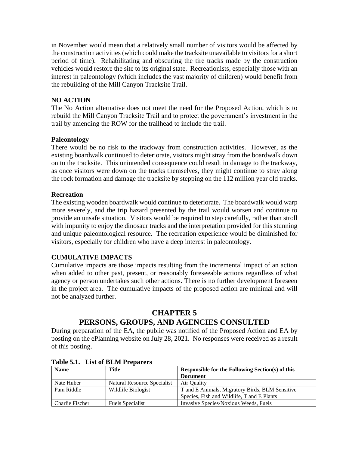in November would mean that a relatively small number of visitors would be affected by the construction activities (which could make the tracksite unavailable to visitors for a short period of time). Rehabilitating and obscuring the tire tracks made by the construction vehicles would restore the site to its original state. Recreationists, especially those with an interest in paleontology (which includes the vast majority of children) would benefit from the rebuilding of the Mill Canyon Tracksite Trail.

#### **NO ACTION**

The No Action alternative does not meet the need for the Proposed Action, which is to rebuild the Mill Canyon Tracksite Trail and to protect the government's investment in the trail by amending the ROW for the trailhead to include the trail.

#### **Paleontology**

There would be no risk to the trackway from construction activities. However, as the existing boardwalk continued to deteriorate, visitors might stray from the boardwalk down on to the tracksite. This unintended consequence could result in damage to the trackway, as once visitors were down on the tracks themselves, they might continue to stray along the rock formation and damage the tracksite by stepping on the 112 million year old tracks.

#### **Recreation**

The existing wooden boardwalk would continue to deteriorate. The boardwalk would warp more severely, and the trip hazard presented by the trail would worsen and continue to provide an unsafe situation. Visitors would be required to step carefully, rather than stroll with impunity to enjoy the dinosaur tracks and the interpretation provided for this stunning and unique paleontological resource. The recreation experience would be diminished for visitors, especially for children who have a deep interest in paleontology.

### **CUMULATIVE IMPACTS**

Cumulative impacts are those impacts resulting from the incremental impact of an action when added to other past, present, or reasonably foreseeable actions regardless of what agency or person undertakes such other actions. There is no further development foreseen in the project area. The cumulative impacts of the proposed action are minimal and will not be analyzed further.

## **CHAPTER 5**

## **PERSONS, GROUPS, AND AGENCIES CONSULTED**

During preparation of the EA, the public was notified of the Proposed Action and EA by posting on the ePlanning website on July 28, 2021. No responses were received as a result of this posting.

| <b>Name</b>     | Title                       | <b>Responsible for the Following Section(s) of this</b> |  |
|-----------------|-----------------------------|---------------------------------------------------------|--|
|                 |                             | <b>Document</b>                                         |  |
| Nate Huber      | Natural Resource Specialist | Air Quality                                             |  |
| Pam Riddle      | Wildlife Biologist          | T and E Animals, Migratory Birds, BLM Sensitive         |  |
|                 |                             | Species, Fish and Wildlife, T and E Plants              |  |
| Charlie Fischer | <b>Fuels Specialist</b>     | Invasive Species/Noxious Weeds, Fuels                   |  |

**Table 5.1. List of BLM Preparers**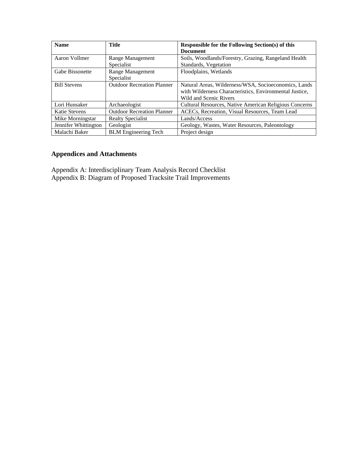| <b>Name</b>            | <b>Title</b>                      | <b>Responsible for the Following Section(s) of this</b>       |  |
|------------------------|-----------------------------------|---------------------------------------------------------------|--|
|                        |                                   | <b>Document</b>                                               |  |
| Aaron Vollmer          | Range Management                  | Soils, Woodlands/Forestry, Grazing, Rangeland Health          |  |
|                        | Specialist                        | Standards, Vegetation                                         |  |
| <b>Gabe Bissonette</b> | Range Management                  | Floodplains, Wetlands                                         |  |
|                        | Specialist                        |                                                               |  |
| <b>Bill Stevens</b>    | <b>Outdoor Recreation Planner</b> | Natural Areas, Wilderness/WSA, Socioeconomics, Lands          |  |
|                        |                                   | with Wilderness Characteristics, Environmental Justice,       |  |
|                        |                                   | Wild and Scenic Rivers                                        |  |
| Lori Hunsaker          | Archaeologist                     | <b>Cultural Resources, Native American Religious Concerns</b> |  |
| Katie Stevens          | <b>Outdoor Recreation Planner</b> | ACECs, Recreation, Visual Resources, Team Lead                |  |
| Mike Morningstar       | <b>Realty Specialist</b>          | Lands/Access                                                  |  |
| Jennifer Whittington   | Geologist                         | Geology, Wastes, Water Resources, Paleontology                |  |
| Malachi Baker          | <b>BLM</b> Engineering Tech       | Project design                                                |  |

## **Appendices and Attachments**

Appendix A: Interdisciplinary Team Analysis Record Checklist Appendix B: Diagram of Proposed Tracksite Trail Improvements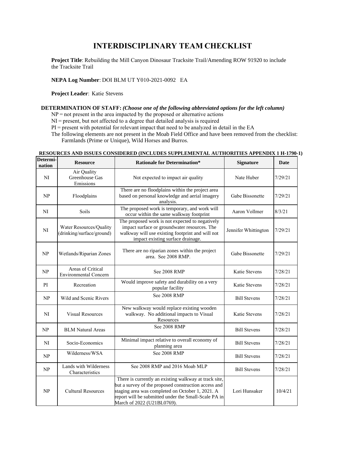## **INTERDISCIPLINARY TEAM CHECKLIST**

**Project Title**: Rebuilding the Mill Canyon Dinosaur Tracksite Trail/Amending ROW 91920 to include the Tracksite Trail

**NEPA Log Number**: DOI BLM UT Y010-2021-0092 EA 

**Project Leader**:  Katie Stevens

#### **DETERMINATION OF STAFF:***(Choose one of the following abbreviated options for the left column)*

NP = not present in the area impacted by the proposed or alternative actions

NI = present, but not affected to a degree that detailed analysis is required  

PI = present with potential for relevant impact that need to be analyzed in detail in the EA 

The following elements are not present in the Moab Field Office and have been removed from the checklist: Farmlands (Prime or Unique), Wild Horses and Burros. 

| Determi-<br>nation | <b>Resource</b>                                      | <b>Rationale for Determination*</b>                                                                                                                                                                                                                     | <b>Signature</b>     | Date    |
|--------------------|------------------------------------------------------|---------------------------------------------------------------------------------------------------------------------------------------------------------------------------------------------------------------------------------------------------------|----------------------|---------|
| NI                 | Air Quality<br>Greenhouse Gas<br>Emissions           | Not expected to impact air quality                                                                                                                                                                                                                      | Nate Huber           | 7/29/21 |
| NP                 | Floodplains                                          | There are no floodplains within the project area<br>based on personal knowledge and aerial imagery<br>analysis.                                                                                                                                         | Gabe Bissonette      | 7/29/21 |
| NI                 | Soils                                                | The proposed work is temporary, and work will<br>occur within the same walkway footprint                                                                                                                                                                | Aaron Vollmer        | 8/3/21  |
| N <sub>I</sub>     | Water Resources/Quality<br>(drinking/surface/ground) | The proposed work is not expected to negatively<br>impact surface or groundwater resources. The<br>walkway will use existing footprint and will not<br>impact existing surface drainage.                                                                | Jennifer Whittington | 7/29/21 |
| NP                 | Wetlands/Riparian Zones                              | There are no riparian zones within the project<br>area. See 2008 RMP.                                                                                                                                                                                   | Gabe Bissonette      | 7/29/21 |
| NP                 | Areas of Critical<br><b>Environmental Concern</b>    | See 2008 RMP                                                                                                                                                                                                                                            | Katie Stevens        | 7/28/21 |
| PI                 | Recreation                                           | Would improve safety and durability on a very<br>popular facility                                                                                                                                                                                       | Katie Stevens        | 7/28/21 |
| NP                 | Wild and Scenic Rivers                               | See 2008 RMP                                                                                                                                                                                                                                            | <b>Bill Stevens</b>  | 7/28/21 |
| NI                 | <b>Visual Resources</b>                              | New walkway would replace existing wooden<br>walkway. No additional impacts to Visual<br>Resources                                                                                                                                                      | Katie Stevens        | 7/28/21 |
| NP                 | <b>BLM Natural Areas</b>                             | See 2008 RMP                                                                                                                                                                                                                                            | <b>Bill Stevens</b>  | 7/28/21 |
| N <sub>I</sub>     | Socio-Economics                                      | Minimal impact relative to overall economy of<br>planning area                                                                                                                                                                                          | <b>Bill Stevens</b>  | 7/28/21 |
| NP                 | Wilderness/WSA                                       | See 2008 RMP                                                                                                                                                                                                                                            | <b>Bill Stevens</b>  | 7/28/21 |
| NP                 | Lands with Wilderness<br>Characteristics             | See 2008 RMP and 2016 Moab MLP                                                                                                                                                                                                                          | <b>Bill Stevens</b>  | 7/28/21 |
| NP                 | <b>Cultural Resources</b>                            | There is currently an existing walkway at track site,<br>but a survey of the proposed construction access and<br>staging area was completed on October 1, 2021. A<br>report will be submitted under the Small-Scale PA in<br>March of 2022 (U21BL0769). | Lori Hunsaker        | 10/4/21 |

#### **RESOURCES AND ISSUES CONSIDERED (INCLUDES SUPPLEMENTAL AUTHORITIES APPENDIX 1 H-1790-1)**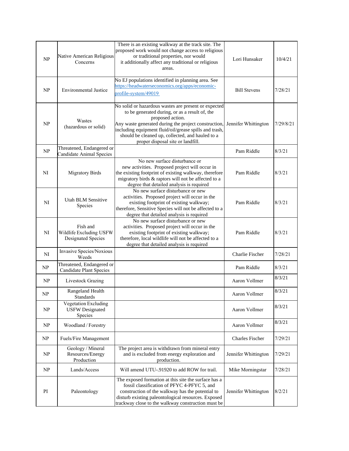| NP | Native American Religious<br>Concerns                       | There is an existing walkway at the track site. The<br>proposed work would not change access to religious<br>or traditional properties, nor would<br>it additionally affect any traditional or religious<br>areas.                                                                                                                    | Lori Hunsaker          | 10/4/21   |
|----|-------------------------------------------------------------|---------------------------------------------------------------------------------------------------------------------------------------------------------------------------------------------------------------------------------------------------------------------------------------------------------------------------------------|------------------------|-----------|
| NP | <b>Environmental Justice</b>                                | No EJ populations identified in planning area. See<br>https://headwaterseconomics.org/apps/economic-<br>profile-system/49019                                                                                                                                                                                                          | <b>Bill Stevens</b>    | 7/28/21   |
| NP | Wastes<br>(hazardous or solid)                              | No solid or hazardous wastes are present or expected<br>to be generated during, or as a result of, the<br>proposed action.<br>Any waste generated during the project construction,<br>including equipment fluid/oil/grease spills and trash,<br>should be cleaned up, collected, and hauled to a<br>proper disposal site or landfill. | Jennifer Whittington   | 7/29/8/21 |
| NP | Threatened, Endangered or<br>Candidate Animal Species       |                                                                                                                                                                                                                                                                                                                                       | Pam Riddle             | 8/3/21    |
| NI | <b>Migratory Birds</b>                                      | No new surface disturbance or<br>new activities. Proposed project will occur in<br>the existing footprint of existing walkway, therefore<br>migratory birds & raptors will not be affected to a<br>degree that detailed analysis is required                                                                                          | Pam Riddle             | 8/3/21    |
| NI | Utah BLM Sensitive<br>Species                               | No new surface disturbance or new<br>activities. Proposed project will occur in the<br>existing footprint of existing walkway;<br>therefore, Sensitive Species will not be affected to a<br>degree that detailed analysis is required                                                                                                 | Pam Riddle             | 8/3/21    |
| NI | Fish and<br>Wildlife Excluding USFW<br>Designated Species   | No new surface disturbance or new<br>activities. Proposed project will occur in the<br>existing footprint of existing walkway;<br>therefore, local wildlife will not be affected to a<br>degree that detailed analysis is required                                                                                                    | Pam Riddle             | 8/3/21    |
| NI | Invasive Species/Noxious<br>Weeds                           |                                                                                                                                                                                                                                                                                                                                       | Charlie Fischer        | 7/28/21   |
| NP | Threatened, Endangered or<br><b>Candidate Plant Species</b> |                                                                                                                                                                                                                                                                                                                                       | Pam Riddle             | 8/3/21    |
| NP | Livestock Grazing                                           |                                                                                                                                                                                                                                                                                                                                       | Aaron Vollmer          | 8/3/21    |
| NP | Rangeland Health<br>Standards                               |                                                                                                                                                                                                                                                                                                                                       | Aaron Vollmer          | 8/3/21    |
| NP | Vegetation Excluding<br><b>USFW Designated</b><br>Species   |                                                                                                                                                                                                                                                                                                                                       | Aaron Vollmer          | 8/3/21    |
| NP | Woodland / Forestry                                         |                                                                                                                                                                                                                                                                                                                                       | Aaron Vollmer          | 8/3/21    |
| NP | Fuels/Fire Management                                       |                                                                                                                                                                                                                                                                                                                                       | <b>Charles Fischer</b> | 7/29/21   |
| NP | Geology / Mineral<br>Resources/Energy<br>Production         | The project area is withdrawn from mineral entry<br>and is excluded from energy exploration and<br>production.                                                                                                                                                                                                                        | Jennifer Whittington   | 7/29/21   |
| NP | Lands/Access                                                | Will amend UTU-.91920 to add ROW for trail.                                                                                                                                                                                                                                                                                           | Mike Morningstar       | 7/28/21   |
| PI | Paleontology                                                | The exposed formation at this site the surface has a<br>fossil classification of PFYC 4-PFYC 5, and<br>construction of the walkway has the potential to<br>disturb existing paleontological resources. Exposed<br>trackway close to the walkway construction must be                                                                  | Jennifer Whittington   | 8/2/21    |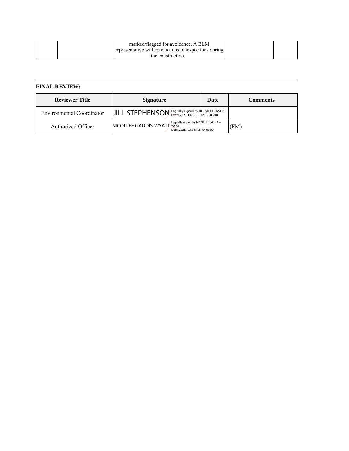| marked/flagged for avoidance. A BLM                   |  |
|-------------------------------------------------------|--|
| representative will conduct onsite inspections during |  |
| the construction.                                     |  |

#### **FINAL REVIEW:**

| <b>Reviewer Title</b>     | <b>Signature</b>                                                                                                | Date | Comments |
|---------------------------|-----------------------------------------------------------------------------------------------------------------|------|----------|
| Environmental Coordinator | JILL STEPHENSON Digitally signed by JILL STEPHENSON                                                             |      |          |
| Authorized Officer        | Digitally signed by NICOLLEE GADDIS-<br><b>NICOLLEE GADDIS-WYATT WYATT</b><br>Date: 2021.10.12 13:06:09 -06'00' |      | (FM)     |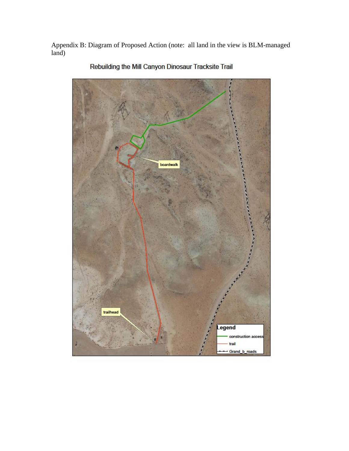Appendix B: Diagram of Proposed Action (note: all land in the view is BLM-managed  $\int$ land)



Rebuilding the Mill Canyon Dinosaur Tracksite Trail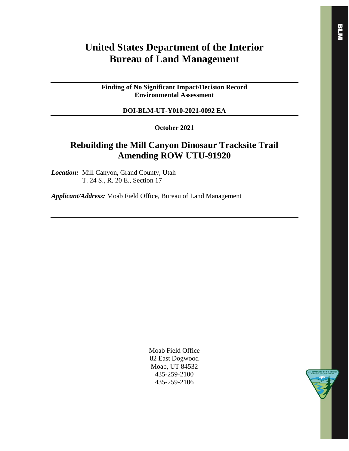## **United States Department of the Interior Bureau of Land Management**

**Finding of No Significant Impact/Decision Record Environmental Assessment**

#### **DOI-BLM-UT-Y010-2021-0092 EA**

**October 2021**

## **Rebuilding the Mill Canyon Dinosaur Tracksite Trail Amending ROW UTU-91920**

*Location:* Mill Canyon, Grand County, Utah T. 24 S., R. 20 E., Section 17

*Applicant/Address:* Moab Field Office, Bureau of Land Management

Moab Field Office 82 East Dogwood Moab, UT 84532 435-259-2100 435-259-2106

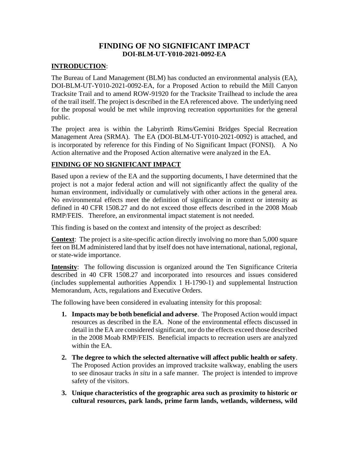## **FINDING OF NO SIGNIFICANT IMPACT DOI-BLM-UT-Y010-2021-0092-EA**

### **INTRODUCTION**:

The Bureau of Land Management (BLM) has conducted an environmental analysis (EA), DOI-BLM-UT-Y010-2021-0092-EA, for a Proposed Action to rebuild the Mill Canyon Tracksite Trail and to amend ROW-91920 for the Tracksite Trailhead to include the area of the trail itself. The project is described in the EA referenced above. The underlying need for the proposal would be met while improving recreation opportunities for the general public.

The project area is within the Labyrinth Rims/Gemini Bridges Special Recreation Management Area (SRMA). The EA (DOI-BLM-UT-Y010-2021-0092) is attached, and is incorporated by reference for this Finding of No Significant Impact (FONSI). A No Action alternative and the Proposed Action alternative were analyzed in the EA.

## **FINDING OF NO SIGNIFICANT IMPACT**

Based upon a review of the EA and the supporting documents, I have determined that the project is not a major federal action and will not significantly affect the quality of the human environment, individually or cumulatively with other actions in the general area. No environmental effects meet the definition of significance in context or intensity as defined in 40 CFR 1508.27 and do not exceed those effects described in the 2008 Moab RMP/FEIS. Therefore, an environmental impact statement is not needed.

This finding is based on the context and intensity of the project as described:

**Context**: The project is a site-specific action directly involving no more than 5,000 square feet on BLM administered land that by itself does not have international, national, regional, or state-wide importance.

**Intensity**: The following discussion is organized around the Ten Significance Criteria described in 40 CFR 1508.27 and incorporated into resources and issues considered (includes supplemental authorities Appendix 1 H-1790-1) and supplemental Instruction Memorandum, Acts, regulations and Executive Orders.

The following have been considered in evaluating intensity for this proposal:

- **1. Impacts may be both beneficial and adverse**. The Proposed Action would impact resources as described in the EA. None of the environmental effects discussed in detail in the EA are considered significant, nor do the effects exceed those described in the 2008 Moab RMP/FEIS. Beneficial impacts to recreation users are analyzed within the EA.
- **2. The degree to which the selected alternative will affect public health or safety**. The Proposed Action provides an improved tracksite walkway, enabling the users to see dinosaur tracks *in situ* in a safe manner. The project is intended to improve safety of the visitors.
- **3. Unique characteristics of the geographic area such as proximity to historic or cultural resources, park lands, prime farm lands, wetlands, wilderness, wild**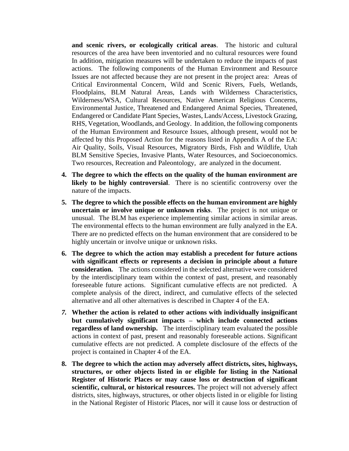**and scenic rivers, or ecologically critical areas**. The historic and cultural resources of the area have been inventoried and no cultural resources were found In addition, mitigation measures will be undertaken to reduce the impacts of past actions. The following components of the Human Environment and Resource Issues are not affected because they are not present in the project area: Areas of Critical Environmental Concern, Wild and Scenic Rivers, Fuels, Wetlands, Floodplains, BLM Natural Areas, Lands with Wilderness Characteristics, Wilderness/WSA, Cultural Resources, Native American Religious Concerns, Environmental Justice, Threatened and Endangered Animal Species, Threatened, Endangered or Candidate Plant Species, Wastes, Lands/Access, Livestock Grazing, RHS, Vegetation, Woodlands, and Geology. In addition, the following components of the Human Environment and Resource Issues, although present, would not be affected by this Proposed Action for the reasons listed in Appendix A of the EA: Air Quality, Soils, Visual Resources, Migratory Birds, Fish and Wildlife, Utah BLM Sensitive Species, Invasive Plants, Water Resources, and Socioeconomics. Two resources, Recreation and Paleontology, are analyzed in the document.

- **4. The degree to which the effects on the quality of the human environment are likely to be highly controversial**. There is no scientific controversy over the nature of the impacts.
- **5. The degree to which the possible effects on the human environment are highly uncertain or involve unique or unknown risks**. The project is not unique or unusual. The BLM has experience implementing similar actions in similar areas. The environmental effects to the human environment are fully analyzed in the EA. There are no predicted effects on the human environment that are considered to be highly uncertain or involve unique or unknown risks.
- **6. The degree to which the action may establish a precedent for future actions with significant effects or represents a decision in principle about a future consideration.** The actions considered in the selected alternative were considered by the interdisciplinary team within the context of past, present, and reasonably foreseeable future actions. Significant cumulative effects are not predicted. A complete analysis of the direct, indirect, and cumulative effects of the selected alternative and all other alternatives is described in Chapter 4 of the EA.
- *7.* **Whether the action is related to other actions with individually insignificant but cumulatively significant impacts – which include connected actions regardless of land ownership.** The interdisciplinary team evaluated the possible actions in context of past, present and reasonably foreseeable actions. Significant cumulative effects are not predicted. A complete disclosure of the effects of the project is contained in Chapter 4 of the EA.
- **8. The degree to which the action may adversely affect districts, sites, highways, structures, or other objects listed in or eligible for listing in the National Register of Historic Places or may cause loss or destruction of significant scientific, cultural, or historical resources.** The project will not adversely affect districts, sites, highways, structures, or other objects listed in or eligible for listing in the National Register of Historic Places, nor will it cause loss or destruction of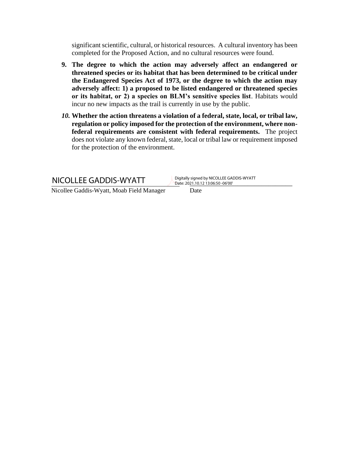significant scientific, cultural, or historical resources. A cultural inventory has been completed for the Proposed Action, and no cultural resources were found.

- **9. The degree to which the action may adversely affect an endangered or threatened species or its habitat that has been determined to be critical under the Endangered Species Act of 1973, or the degree to which the action may adversely affect: 1) a proposed to be listed endangered or threatened species or its habitat, or 2) a species on BLM's sensitive species list**. Habitats would incur no new impacts as the trail is currently in use by the public.
- *10.* **Whether the action threatens a violation of a federal, state, local, or tribal law, regulation or policy imposed for the protection of the environment, where nonfederal requirements are consistent with federal requirements.** The project does not violate any known federal, state, local or tribal law or requirement imposed for the protection of the environment.

NICOLLEE GADDIS-WYATT Digitally signed by NICOLLEE GADDIS-WYATT

Date: 2021.10.12 13:06:50 -06'00'

Nicollee Gaddis-Wyatt, Moab Field Manager Date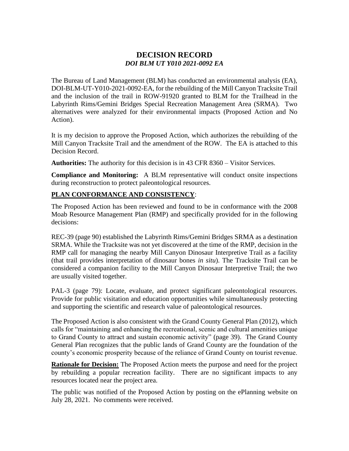## **DECISION RECORD** *DOI BLM UT Y010 2021-0092 EA*

The Bureau of Land Management (BLM) has conducted an environmental analysis (EA), DOI-BLM-UT-Y010-2021-0092-EA, for the rebuilding of the Mill Canyon Tracksite Trail and the inclusion of the trail in ROW-91920 granted to BLM for the Trailhead in the Labyrinth Rims/Gemini Bridges Special Recreation Management Area (SRMA). Two alternatives were analyzed for their environmental impacts (Proposed Action and No Action).

It is my decision to approve the Proposed Action, which authorizes the rebuilding of the Mill Canyon Tracksite Trail and the amendment of the ROW. The EA is attached to this Decision Record.

**Authorities:** The authority for this decision is in 43 CFR 8360 – Visitor Services.

**Compliance and Monitoring:** A BLM representative will conduct onsite inspections during reconstruction to protect paleontological resources.

### **PLAN CONFORMANCE AND CONSISTENCY**:

The Proposed Action has been reviewed and found to be in conformance with the 2008 Moab Resource Management Plan (RMP) and specifically provided for in the following decisions:

REC-39 (page 90) established the Labyrinth Rims/Gemini Bridges SRMA as a destination SRMA. While the Tracksite was not yet discovered at the time of the RMP, decision in the RMP call for managing the nearby Mill Canyon Dinosaur Interpretive Trail as a facility (that trail provides interpretation of dinosaur bones *in situ*). The Tracksite Trail can be considered a companion facility to the Mill Canyon Dinosaur Interpretive Trail; the two are usually visited together.

PAL-3 (page 79): Locate, evaluate, and protect significant paleontological resources. Provide for public visitation and education opportunities while simultaneously protecting and supporting the scientific and research value of paleontological resources.

The Proposed Action is also consistent with the Grand County General Plan (2012), which calls for "maintaining and enhancing the recreational, scenic and cultural amenities unique to Grand County to attract and sustain economic activity" (page 39). The Grand County General Plan recognizes that the public lands of Grand County are the foundation of the county's economic prosperity because of the reliance of Grand County on tourist revenue.

**Rationale for Decision:** The Proposed Action meets the purpose and need for the project by rebuilding a popular recreation facility. There are no significant impacts to any resources located near the project area.

The public was notified of the Proposed Action by posting on the ePlanning website on July 28, 2021. No comments were received.